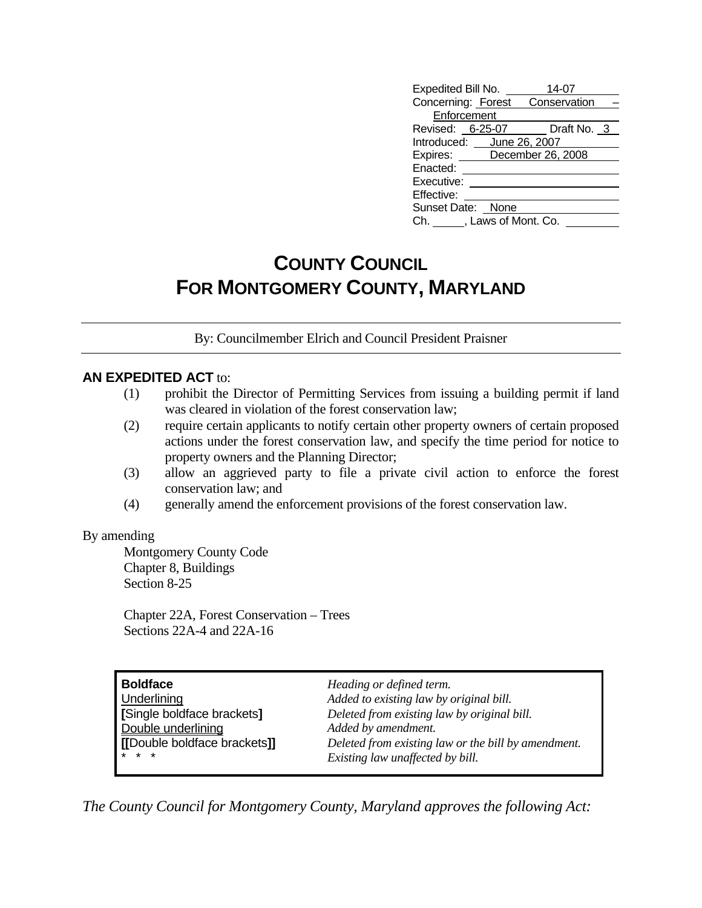| Expedited Bill No.        |  | 14-07                           |  |  |  |  |
|---------------------------|--|---------------------------------|--|--|--|--|
|                           |  | Concerning: Forest Conservation |  |  |  |  |
| Enforcement               |  |                                 |  |  |  |  |
| Revised: 6-25-07          |  | Draft No. 3                     |  |  |  |  |
| Introduced: June 26, 2007 |  |                                 |  |  |  |  |
|                           |  | Expires: December 26, 2008      |  |  |  |  |
| Enacted:                  |  |                                 |  |  |  |  |
| Executive:                |  |                                 |  |  |  |  |
| Effective:                |  |                                 |  |  |  |  |
| Sunset Date: None         |  |                                 |  |  |  |  |
| Ch. , Laws of Mont. Co.   |  |                                 |  |  |  |  |

# **COUNTY COUNCIL FOR MONTGOMERY COUNTY, MARYLAND**

By: Councilmember Elrich and Council President Praisner

### **AN EXPEDITED ACT** to:

- (1) prohibit the Director of Permitting Services from issuing a building permit if land was cleared in violation of the forest conservation law;
- (2) require certain applicants to notify certain other property owners of certain proposed actions under the forest conservation law, and specify the time period for notice to property owners and the Planning Director;
- (3) allow an aggrieved party to file a private civil action to enforce the forest conservation law; and
- (4) generally amend the enforcement provisions of the forest conservation law.

#### By amending

 Montgomery County Code Chapter 8, Buildings Section 8-25

 Chapter 22A, Forest Conservation – Trees Sections 22A-4 and 22A-16

| <b>Boldface</b>              | Heading or defined term.                            |
|------------------------------|-----------------------------------------------------|
| Underlining                  | Added to existing law by original bill.             |
| [Single boldface brackets]   | Deleted from existing law by original bill.         |
| Double underlining           | Added by amendment.                                 |
| [[Double boldface brackets]] | Deleted from existing law or the bill by amendment. |
| $* * *$                      | Existing law unaffected by bill.                    |

*The County Council for Montgomery County, Maryland approves the following Act:*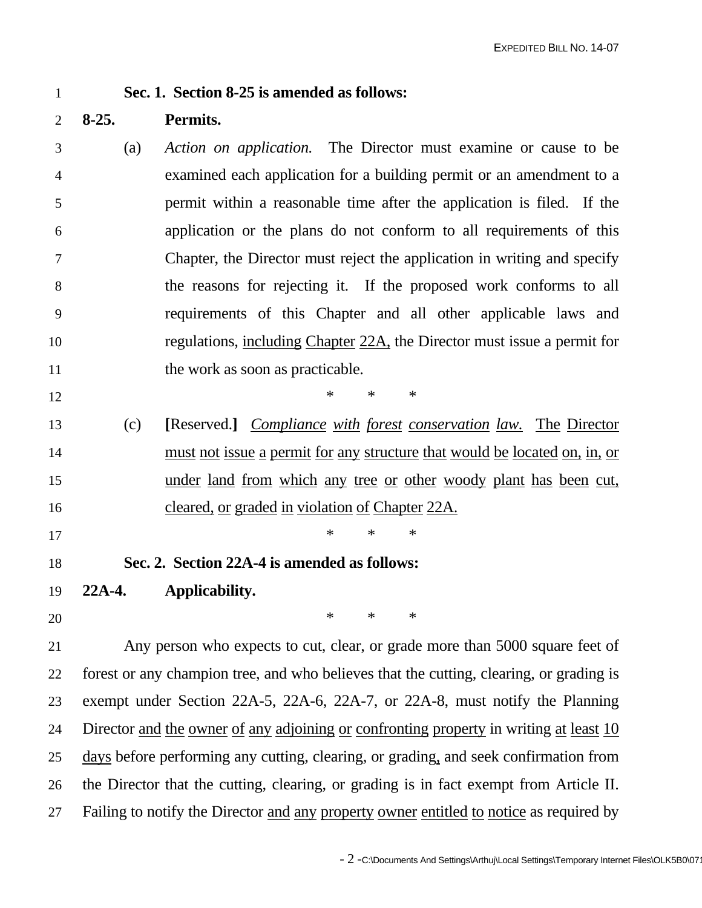## 1 **Sec. 1. Section 8-25 is amended as follows:**

- 2 **8-25. Permits.**
- 3 (a) *Action on application.* The Director must examine or cause to be 4 examined each application for a building permit or an amendment to a 5 permit within a reasonable time after the application is filed. If the 6 application or the plans do not conform to all requirements of this 7 Chapter, the Director must reject the application in writing and specify 8 the reasons for rejecting it. If the proposed work conforms to all 9 requirements of this Chapter and all other applicable laws and 10 regulations, including Chapter 22A, the Director must issue a permit for 11 the work as soon as practicable.
- 13 (c) **[**Reserved.**]** *Compliance with forest conservation law.* The Director 14 must not issue a permit for any structure that would be located on, in, or 15 under land from which any tree or other woody plant has been cut, 16 cleared, or graded in violation of Chapter 22A.
- $17$  \* \* \*
- 18 **Sec. 2. Section 22A-4 is amended as follows:**

 $12$  \* \* \*

- 19 **22A-4. Applicability.**
- $20$  \* \* \*

21 Any person who expects to cut, clear, or grade more than 5000 square feet of 22 forest or any champion tree, and who believes that the cutting, clearing, or grading is 23 exempt under Section 22A-5, 22A-6, 22A-7, or 22A-8, must notify the Planning 24 Director and the owner of any adjoining or confronting property in writing at least 10 25 days before performing any cutting, clearing, or grading, and seek confirmation from 26 the Director that the cutting, clearing, or grading is in fact exempt from Article II. 27 Failing to notify the Director and any property owner entitled to notice as required by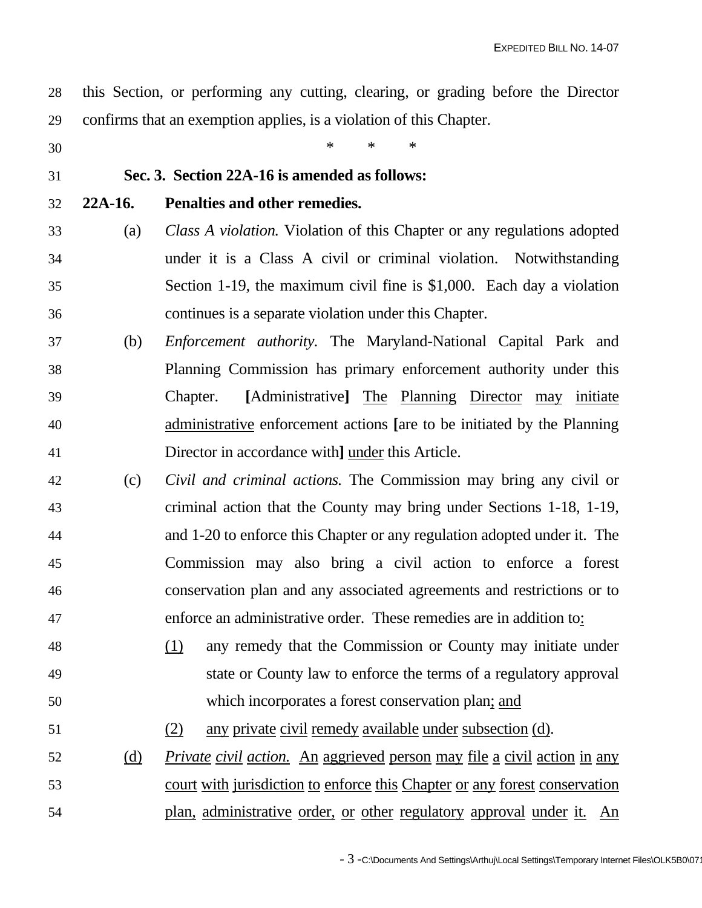28 this Section, or performing any cutting, clearing, or grading before the Director 29 confirms that an exemption applies, is a violation of this Chapter.

30  $*$  \* \* \*

# 31 **Sec. 3. Section 22A-16 is amended as follows:**

# 32 **22A-16. Penalties and other remedies.**

- 33 (a) *Class A violation.* Violation of this Chapter or any regulations adopted 34 under it is a Class A civil or criminal violation. Notwithstanding 35 Section 1-19, the maximum civil fine is \$1,000. Each day a violation 36 continues is a separate violation under this Chapter.
- 37 (b) *Enforcement authority.* The Maryland-National Capital Park and 38 Planning Commission has primary enforcement authority under this 39 Chapter. **[**Administrative**]** The Planning Director may initiate 40 administrative enforcement actions **[**are to be initiated by the Planning 41 Director in accordance with**]** under this Article.
- 42 (c) *Civil and criminal actions.* The Commission may bring any civil or 43 criminal action that the County may bring under Sections 1-18, 1-19, 44 and 1-20 to enforce this Chapter or any regulation adopted under it. The 45 Commission may also bring a civil action to enforce a forest 46 conservation plan and any associated agreements and restrictions or to 47 enforce an administrative order. These remedies are in addition to:
- 48 (1) any remedy that the Commission or County may initiate under 49 state or County law to enforce the terms of a regulatory approval 50 which incorporates a forest conservation plan; and
- 51 (2) any private civil remedy available under subsection (d).
- 52 (d) *Private civil action.* An aggrieved person may file a civil action in any 53 court with jurisdiction to enforce this Chapter or any forest conservation 54 plan, administrative order, or other regulatory approval under it. An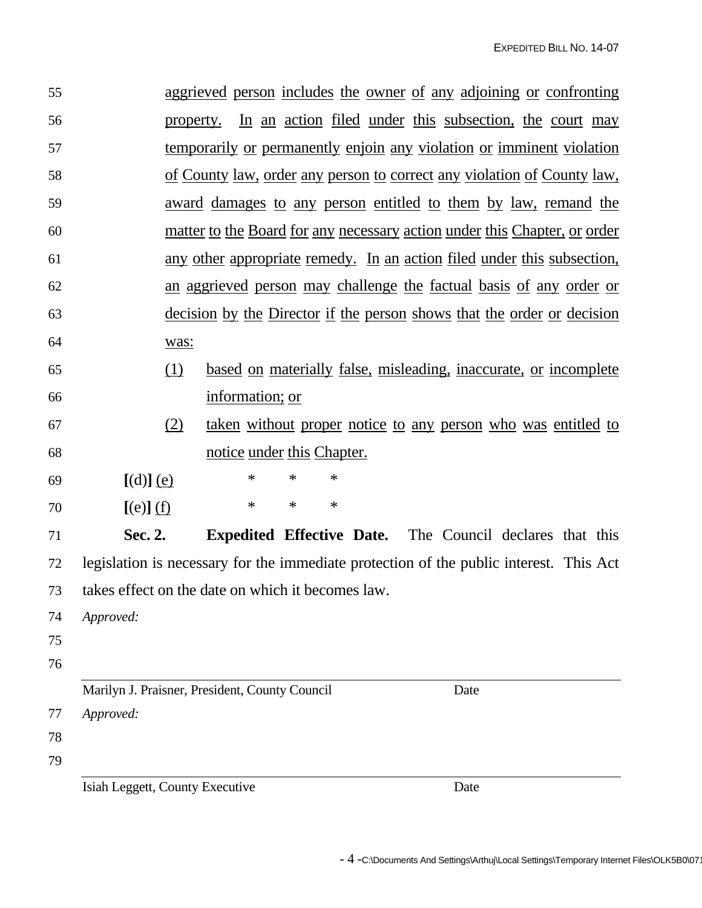| 55       |                                                   |                                                                                  |                  |      | aggrieved person includes the owner of any adjoining or confronting                    |  |  |
|----------|---------------------------------------------------|----------------------------------------------------------------------------------|------------------|------|----------------------------------------------------------------------------------------|--|--|
| 56       |                                                   | In an action filed under this subsection, the court may<br>property.             |                  |      |                                                                                        |  |  |
| 57       |                                                   | temporarily or permanently enjoin any violation or imminent violation            |                  |      |                                                                                        |  |  |
| 58       |                                                   | <u>of County law, order any person to correct any violation of County law,</u>   |                  |      |                                                                                        |  |  |
| 59       |                                                   | award damages to any person entitled to them by law, remand the                  |                  |      |                                                                                        |  |  |
| 60       |                                                   | <u>matter to the Board for any necessary action under this Chapter, or order</u> |                  |      |                                                                                        |  |  |
| 61       |                                                   | any other appropriate remedy. In an action filed under this subsection,          |                  |      |                                                                                        |  |  |
| 62       |                                                   | an aggrieved person may challenge the factual basis of any order or              |                  |      |                                                                                        |  |  |
| 63       |                                                   | <u>decision by the Director if the person shows that the order or decision</u>   |                  |      |                                                                                        |  |  |
| 64       | was:                                              |                                                                                  |                  |      |                                                                                        |  |  |
| 65       | (1)                                               |                                                                                  |                  |      | <u>based on materially false, misleading, inaccurate, or incomplete</u>                |  |  |
| 66       |                                                   | information; or                                                                  |                  |      |                                                                                        |  |  |
| 67       | (2)                                               |                                                                                  |                  |      | <u>taken without proper notice to any person who was entitled to</u>                   |  |  |
| 68       |                                                   | notice under this Chapter.                                                       |                  |      |                                                                                        |  |  |
| 69       | $[(d)]$ (e)                                       | $\ast$                                                                           | $\ast$<br>$\ast$ |      |                                                                                        |  |  |
| 70       | $[(e)]$ $(f)$                                     | $\ast$                                                                           | $\ast$<br>$\ast$ |      |                                                                                        |  |  |
| 71       | Sec. 2.                                           |                                                                                  |                  |      | <b>Expedited Effective Date.</b> The Council declares that this                        |  |  |
| 72       |                                                   |                                                                                  |                  |      | legislation is necessary for the immediate protection of the public interest. This Act |  |  |
| 73       | takes effect on the date on which it becomes law. |                                                                                  |                  |      |                                                                                        |  |  |
| 74       | Approved:                                         |                                                                                  |                  |      |                                                                                        |  |  |
| 75       |                                                   |                                                                                  |                  |      |                                                                                        |  |  |
| 76       |                                                   |                                                                                  |                  |      |                                                                                        |  |  |
|          | Marilyn J. Praisner, President, County Council    |                                                                                  |                  | Date |                                                                                        |  |  |
| 77<br>78 | Approved:                                         |                                                                                  |                  |      |                                                                                        |  |  |
| 79       |                                                   |                                                                                  |                  |      |                                                                                        |  |  |
|          | Isiah Leggett, County Executive                   |                                                                                  |                  |      | Date                                                                                   |  |  |